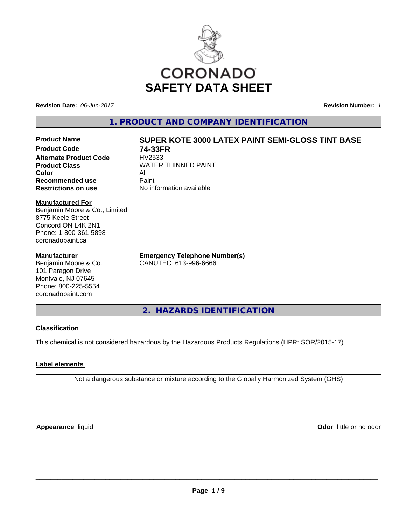

**Revision Date:** *06-Jun-2017* **Revision Number:** *1*

**Alternate Product Code**<br>Product Class

**Recommended use** 

**1. PRODUCT AND COMPANY IDENTIFICATION**

# **Product Name SUPER KOTE 3000 LATEX PAINT SEMI-GLOSS TINT BASE**

**Product Code 74-33FR WATER THINNED PAINT Color** All All<br>**Recommended use** Paint **Restrictions on use** No information available

**Manufactured For** Benjamin Moore & Co., Limited 8775 Keele Street Concord ON L4K 2N1 Phone: 1-800-361-5898

## **Manufacturer**

coronadopaint.ca

Benjamin Moore & Co. 101 Paragon Drive Montvale, NJ 07645 Phone: 800-225-5554 coronadopaint.com

**Emergency Telephone Number(s)** CANUTEC: 613-996-6666

**2. HAZARDS IDENTIFICATION**

# **Classification**

This chemical is not considered hazardous by the Hazardous Products Regulations (HPR: SOR/2015-17)

# **Label elements**

Not a dangerous substance or mixture according to the Globally Harmonized System (GHS)

**Appearance** liquid

**Odor** little or no odor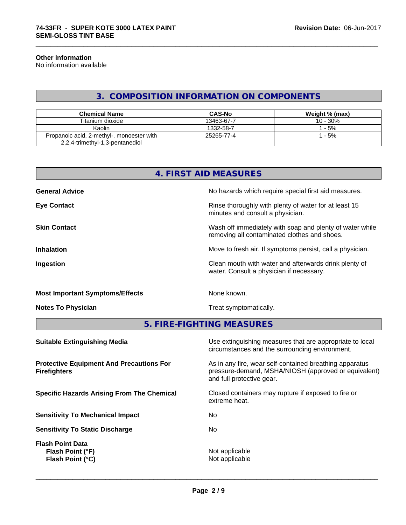#### **Other information**

No information available

# **3. COMPOSITION INFORMATION ON COMPONENTS**

\_\_\_\_\_\_\_\_\_\_\_\_\_\_\_\_\_\_\_\_\_\_\_\_\_\_\_\_\_\_\_\_\_\_\_\_\_\_\_\_\_\_\_\_\_\_\_\_\_\_\_\_\_\_\_\_\_\_\_\_\_\_\_\_\_\_\_\_\_\_\_\_\_\_\_\_\_\_\_\_\_\_\_\_\_\_\_\_\_\_\_\_\_

| <b>Chemical Name</b>                                                         | <b>CAS-No</b> | Weight % (max) |
|------------------------------------------------------------------------------|---------------|----------------|
| Titanium dioxide                                                             | 13463-67-7    | $10 - 30%$     |
| Kaolin                                                                       | 1332-58-7     | $-5%$          |
| Propanoic acid, 2-methyl-, monoester with<br>2,2,4-trimethyl-1,3-pentanediol | 25265-77-4    | $-5%$          |

|                                        | 4. FIRST AID MEASURES                                                                                    |  |  |
|----------------------------------------|----------------------------------------------------------------------------------------------------------|--|--|
| <b>General Advice</b>                  | No hazards which require special first aid measures.                                                     |  |  |
| <b>Eye Contact</b>                     | Rinse thoroughly with plenty of water for at least 15<br>minutes and consult a physician.                |  |  |
| <b>Skin Contact</b>                    | Wash off immediately with soap and plenty of water while<br>removing all contaminated clothes and shoes. |  |  |
| <b>Inhalation</b>                      | Move to fresh air. If symptoms persist, call a physician.                                                |  |  |
| Ingestion                              | Clean mouth with water and afterwards drink plenty of<br>water. Consult a physician if necessary.        |  |  |
| <b>Most Important Symptoms/Effects</b> | None known.                                                                                              |  |  |
| <b>Notes To Physician</b>              | Treat symptomatically.                                                                                   |  |  |

**5. FIRE-FIGHTING MEASURES**

| Use extinguishing measures that are appropriate to local<br>circumstances and the surrounding environment.                                   |
|----------------------------------------------------------------------------------------------------------------------------------------------|
| As in any fire, wear self-contained breathing apparatus<br>pressure-demand, MSHA/NIOSH (approved or equivalent)<br>and full protective gear. |
| Closed containers may rupture if exposed to fire or<br>extreme heat.                                                                         |
| No.                                                                                                                                          |
| No.                                                                                                                                          |
| Not applicable<br>Not applicable                                                                                                             |
|                                                                                                                                              |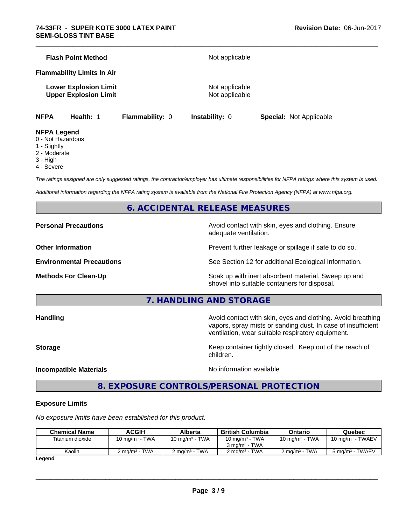| <b>NFPA</b><br>Health: 1                                     | <b>Flammability: 0</b> | <b>Instability: 0</b>            | <b>Special: Not Applicable</b> |
|--------------------------------------------------------------|------------------------|----------------------------------|--------------------------------|
| <b>Lower Explosion Limit</b><br><b>Upper Explosion Limit</b> |                        | Not applicable<br>Not applicable |                                |
| <b>Flammability Limits In Air</b>                            |                        |                                  |                                |
| <b>Flash Point Method</b>                                    | Not applicable         |                                  |                                |
|                                                              |                        |                                  |                                |

\_\_\_\_\_\_\_\_\_\_\_\_\_\_\_\_\_\_\_\_\_\_\_\_\_\_\_\_\_\_\_\_\_\_\_\_\_\_\_\_\_\_\_\_\_\_\_\_\_\_\_\_\_\_\_\_\_\_\_\_\_\_\_\_\_\_\_\_\_\_\_\_\_\_\_\_\_\_\_\_\_\_\_\_\_\_\_\_\_\_\_\_\_

#### **NFPA Legend**

- 0 Not Hazardous
- 1 Slightly
- 2 Moderate
- 3 High
- 4 Severe

*The ratings assigned are only suggested ratings, the contractor/employer has ultimate responsibilities for NFPA ratings where this system is used.*

*Additional information regarding the NFPA rating system is available from the National Fire Protection Agency (NFPA) at www.nfpa.org.*

# **6. ACCIDENTAL RELEASE MEASURES**

**Personal Precautions Avoid contact with skin, eyes and clothing. Ensure** Avoid contact with skin, eyes and clothing. Ensure adequate ventilation.

**Other Information Discription Prevent further leakage or spillage if safe to do so.** 

**Environmental Precautions** See Section 12 for additional Ecological Information.

**Methods For Clean-Up Example 20 All 20 All 20 All 20 Soak up with inert absorbent material. Sweep up and** shovel into suitable containers for disposal.

**7. HANDLING AND STORAGE**

**Handling Handling Avoid contact with skin, eyes and clothing. Avoid breathing** vapors, spray mists or sanding dust. In case of insufficient ventilation, wear suitable respiratory equipment.

**Storage Keep container tightly closed. Keep out of the reach of Keep** container tightly closed. Keep out of the reach of children.

**Incompatible Materials Incompatible Materials No information available** 

 $\overline{\phantom{a}}$  ,  $\overline{\phantom{a}}$  ,  $\overline{\phantom{a}}$  ,  $\overline{\phantom{a}}$  ,  $\overline{\phantom{a}}$  ,  $\overline{\phantom{a}}$  ,  $\overline{\phantom{a}}$  ,  $\overline{\phantom{a}}$  ,  $\overline{\phantom{a}}$  ,  $\overline{\phantom{a}}$  ,  $\overline{\phantom{a}}$  ,  $\overline{\phantom{a}}$  ,  $\overline{\phantom{a}}$  ,  $\overline{\phantom{a}}$  ,  $\overline{\phantom{a}}$  ,  $\overline{\phantom{a}}$ 

# **8. EXPOSURE CONTROLS/PERSONAL PROTECTION**

#### **Exposure Limits**

*No exposure limits have been established for this product.*

| <b>Chemical Name</b> | ACGIH                    | Alberta           | <b>British Columbia</b>                       | Ontario                   | Quebec                      |
|----------------------|--------------------------|-------------------|-----------------------------------------------|---------------------------|-----------------------------|
| Titanium dioxide     | 10 mg/m $3$ - TWA        | 10 mg/m $3$ - TWA | 10 mg/m $3$ - TWA<br>$3 \text{ ma/m}^3$ - TWA | 10 mg/m $3$ - TWA         | $10 \text{ mg/m}^3$ - TWAEV |
| Kaolin               | $2 \text{ ma/m}^3$ - TWA | 2 ma/m³ - TWA     | 2 ma/m <sup>3</sup> - TWA                     | 2 ma/m <sup>3</sup> - TWA | 5 mg/m <sup>3</sup> - TWAEV |
| Logand               |                          |                   |                                               |                           |                             |

**Legend**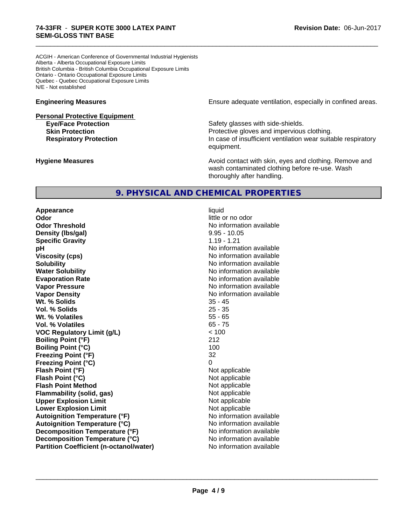ACGIH - American Conference of Governmental Industrial Hygienists Alberta - Alberta Occupational Exposure Limits British Columbia - British Columbia Occupational Exposure Limits Ontario - Ontario Occupational Exposure Limits Quebec - Quebec Occupational Exposure Limits N/E - Not established

**Personal Protective Equipment**

**Engineering Measures Engineering Measures Engineering Measures Ensure adequate ventilation, especially in confined areas.** 

**Eye/Face Protection Safety glasses with side-shields. Skin Protection Protection Protective gloves and impervious clothing. Respiratory Protection In case of insufficient ventilation wear suitable respiratory** equipment.

**Hygiene Measures Avoid contact with skin, eyes and clothing. Remove and Avoid contact with skin, eyes and clothing. Remove and Avoid contact with skin, eyes and clothing. Remove and** wash contaminated clothing before re-use. Wash thoroughly after handling.

# **9. PHYSICAL AND CHEMICAL PROPERTIES**

**Appearance** liquid **Odor** little or no odor **Odor Threshold** No information available **Density (Ibs/gal)** 8.95 - 10.05<br> **Specific Gravity** 1.19 - 1.21 **Specific Gravity pH pH**  $\blacksquare$ **Viscosity (cps)** No information available **Solubility No information available No information available Water Solubility No information available No information available Evaporation Rate No information available No information available Vapor Pressure** No information available No information available **Vapor Density No information available** No information available **Wt. % Solids** 35 - 45 **Vol. % Solids** 25 - 35 **Wt. % Volatiles** 55 - 65 **Vol. % Volatiles** 65 - 75 **VOC Regulatory Limit (g/L)** < 100 **Boiling Point (°F)** 212 **Boiling Point (°C)** 100 **Freezing Point (°F)** 32 **Freezing Point (°C)** 0 **Flash Point (°F)** Not applicable **Flash Point (°C)** Not applicable **Flash Point Method** Not applicable **Flammability (solid, gas)** Not applicable **Upper Explosion Limit**<br> **Lower Explosion Limit**<br> **Lower Explosion Limit Lower Explosion Limit Autoignition Temperature (°F)** No information available **Autoignition Temperature (°C)** No information available **Decomposition Temperature (°F)** No information available **Decomposition Temperature (°C)** No information available **Partition Coefficient (n-octanol/water)** No information available

 $\overline{\phantom{a}}$  ,  $\overline{\phantom{a}}$  ,  $\overline{\phantom{a}}$  ,  $\overline{\phantom{a}}$  ,  $\overline{\phantom{a}}$  ,  $\overline{\phantom{a}}$  ,  $\overline{\phantom{a}}$  ,  $\overline{\phantom{a}}$  ,  $\overline{\phantom{a}}$  ,  $\overline{\phantom{a}}$  ,  $\overline{\phantom{a}}$  ,  $\overline{\phantom{a}}$  ,  $\overline{\phantom{a}}$  ,  $\overline{\phantom{a}}$  ,  $\overline{\phantom{a}}$  ,  $\overline{\phantom{a}}$ 

\_\_\_\_\_\_\_\_\_\_\_\_\_\_\_\_\_\_\_\_\_\_\_\_\_\_\_\_\_\_\_\_\_\_\_\_\_\_\_\_\_\_\_\_\_\_\_\_\_\_\_\_\_\_\_\_\_\_\_\_\_\_\_\_\_\_\_\_\_\_\_\_\_\_\_\_\_\_\_\_\_\_\_\_\_\_\_\_\_\_\_\_\_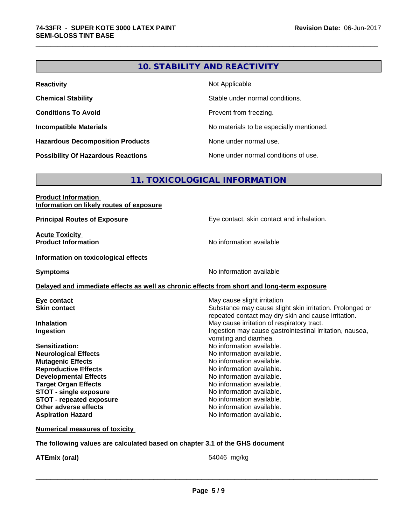# **10. STABILITY AND REACTIVITY**

\_\_\_\_\_\_\_\_\_\_\_\_\_\_\_\_\_\_\_\_\_\_\_\_\_\_\_\_\_\_\_\_\_\_\_\_\_\_\_\_\_\_\_\_\_\_\_\_\_\_\_\_\_\_\_\_\_\_\_\_\_\_\_\_\_\_\_\_\_\_\_\_\_\_\_\_\_\_\_\_\_\_\_\_\_\_\_\_\_\_\_\_\_

| <b>Reactivity</b>                         | Not Applicable                           |
|-------------------------------------------|------------------------------------------|
| <b>Chemical Stability</b>                 | Stable under normal conditions.          |
| <b>Conditions To Avoid</b>                | Prevent from freezing.                   |
| <b>Incompatible Materials</b>             | No materials to be especially mentioned. |
| <b>Hazardous Decomposition Products</b>   | None under normal use.                   |
| <b>Possibility Of Hazardous Reactions</b> | None under normal conditions of use.     |

# **11. TOXICOLOGICAL INFORMATION**

| <b>Product Information</b>               |  |
|------------------------------------------|--|
| Information on likely routes of exposure |  |

**Acute Toxicity<br>Product Information** 

**Principal Routes of Exposure Exposure** Eye contact, skin contact and inhalation.

**No information available** 

#### **Information on toxicological effects**

**Symptoms** No information available

## **Delayed and immediate effects as well as chronic effects from short and long-term exposure**

| Eye contact                     | May cause slight irritation                              |
|---------------------------------|----------------------------------------------------------|
| <b>Skin contact</b>             | Substance may cause slight skin irritation. Prolonged or |
|                                 | repeated contact may dry skin and cause irritation.      |
| <b>Inhalation</b>               | May cause irritation of respiratory tract.               |
| Ingestion                       | Ingestion may cause gastrointestinal irritation, nausea, |
|                                 | vomiting and diarrhea.                                   |
| <b>Sensitization:</b>           | No information available.                                |
| <b>Neurological Effects</b>     | No information available.                                |
| <b>Mutagenic Effects</b>        | No information available.                                |
| <b>Reproductive Effects</b>     | No information available.                                |
| <b>Developmental Effects</b>    | No information available.                                |
| <b>Target Organ Effects</b>     | No information available.                                |
| <b>STOT - single exposure</b>   | No information available.                                |
| <b>STOT - repeated exposure</b> | No information available.                                |
| Other adverse effects           | No information available.                                |
| <b>Aspiration Hazard</b>        | No information available.                                |

#### **Numerical measures of toxicity**

## **The following values are calculated based on chapter 3.1 of the GHS document**

**ATEmix (oral)** 54046 mg/kg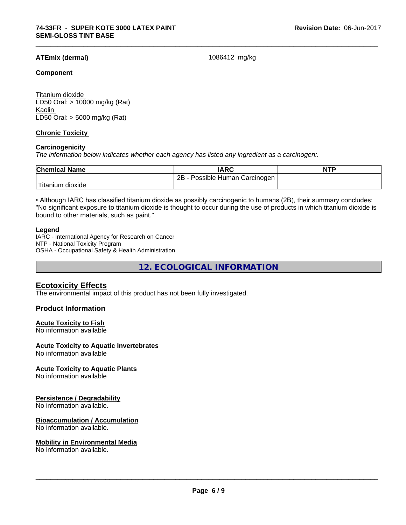## **ATEmix (dermal)** 1086412 mg/kg

\_\_\_\_\_\_\_\_\_\_\_\_\_\_\_\_\_\_\_\_\_\_\_\_\_\_\_\_\_\_\_\_\_\_\_\_\_\_\_\_\_\_\_\_\_\_\_\_\_\_\_\_\_\_\_\_\_\_\_\_\_\_\_\_\_\_\_\_\_\_\_\_\_\_\_\_\_\_\_\_\_\_\_\_\_\_\_\_\_\_\_\_\_

#### **Component**

Titanium dioxide LD50 Oral: > 10000 mg/kg (Rat) Kaolin LD50 Oral: > 5000 mg/kg (Rat)

## **Chronic Toxicity**

#### **Carcinogenicity**

*The information below indicateswhether each agency has listed any ingredient as a carcinogen:.*

| <b>Chemical Name</b> | <b>IARC</b>                           | <b>NTP</b> |
|----------------------|---------------------------------------|------------|
|                      | 2Β<br>Possible<br>Carcinogen<br>Human |            |
| dioxide<br>⊺ıtanıum  |                                       |            |

• Although IARC has classified titanium dioxide as possibly carcinogenic to humans (2B), their summary concludes: "No significant exposure to titanium dioxide is thought to occur during the use of products in which titanium dioxide is bound to other materials, such as paint."

#### **Legend**

IARC - International Agency for Research on Cancer NTP - National Toxicity Program OSHA - Occupational Safety & Health Administration

**12. ECOLOGICAL INFORMATION**

## **Ecotoxicity Effects**

The environmental impact of this product has not been fully investigated.

## **Product Information**

#### **Acute Toxicity to Fish**

No information available

#### **Acute Toxicity to Aquatic Invertebrates**

No information available

#### **Acute Toxicity to Aquatic Plants**

No information available

#### **Persistence / Degradability**

No information available.

#### **Bioaccumulation / Accumulation**

No information available.

#### **Mobility in Environmental Media**

No information available.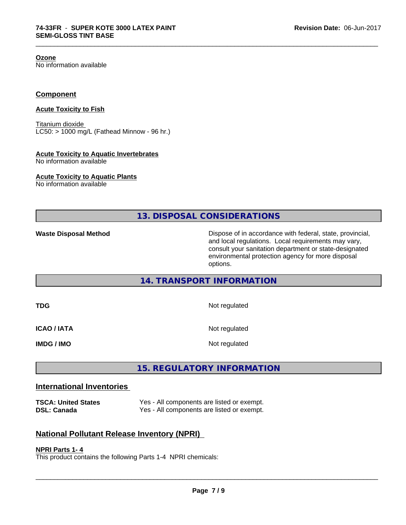**Ozone**

No information available

## **Component**

#### **Acute Toxicity to Fish**

Titanium dioxide  $LC50:$  > 1000 mg/L (Fathead Minnow - 96 hr.)

#### **Acute Toxicity to Aquatic Invertebrates**

No information available

## **Acute Toxicity to Aquatic Plants**

No information available

**13. DISPOSAL CONSIDERATIONS**

\_\_\_\_\_\_\_\_\_\_\_\_\_\_\_\_\_\_\_\_\_\_\_\_\_\_\_\_\_\_\_\_\_\_\_\_\_\_\_\_\_\_\_\_\_\_\_\_\_\_\_\_\_\_\_\_\_\_\_\_\_\_\_\_\_\_\_\_\_\_\_\_\_\_\_\_\_\_\_\_\_\_\_\_\_\_\_\_\_\_\_\_\_

**Waste Disposal Method Dispose of in accordance with federal, state, provincial,** and local regulations. Local requirements may vary, consult your sanitation department or state-designated environmental protection agency for more disposal options.

# **14. TRANSPORT INFORMATION**

| TDG                | Not regulated |
|--------------------|---------------|
| <b>ICAO / IATA</b> | Not regulated |
| <b>IMDG / IMO</b>  | Not regulated |

# **15. REGULATORY INFORMATION**

# **International Inventories**

**TSCA: United States** Yes - All components are listed or exempt. **DSL: Canada** Yes - All components are listed or exempt.

# **National Pollutant Release Inventory (NPRI)**

#### **NPRI Parts 1- 4**

This product contains the following Parts 1-4 NPRI chemicals: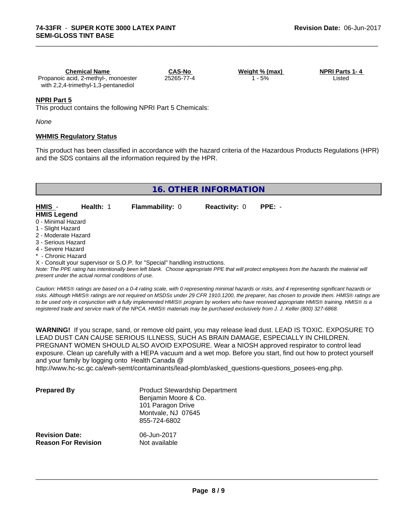| <b>Chemical Name</b>                 | CAS-No     | Weight % (max) | <b>NPRI Parts 1-4</b> |  |
|--------------------------------------|------------|----------------|-----------------------|--|
| Propanoic acid, 2-methyl-, monoester | 25265-77-4 | 5%             | ∟isted                |  |
| with 2,2,4-trimethyl-1,3-pentanediol |            |                |                       |  |

\_\_\_\_\_\_\_\_\_\_\_\_\_\_\_\_\_\_\_\_\_\_\_\_\_\_\_\_\_\_\_\_\_\_\_\_\_\_\_\_\_\_\_\_\_\_\_\_\_\_\_\_\_\_\_\_\_\_\_\_\_\_\_\_\_\_\_\_\_\_\_\_\_\_\_\_\_\_\_\_\_\_\_\_\_\_\_\_\_\_\_\_\_

## **NPRI Part 5**

This product contains the following NPRI Part 5 Chemicals:

*None*

## **WHMIS Regulatory Status**

This product has been classified in accordance with the hazard criteria of the Hazardous Products Regulations (HPR) and the SDS contains all the information required by the HPR.

# **16. OTHER INFORMATION**

| HMIS -             | Health: 1 | <b>Flammability: 0</b> | <b>Reactivity:</b> 0 | $PPE: -$ |
|--------------------|-----------|------------------------|----------------------|----------|
| <b>HMIS Legend</b> |           |                        |                      |          |

- 0 Minimal Hazard
- 1 Slight Hazard
- 2 Moderate Hazard
- 3 Serious Hazard
- 4 Severe Hazard
- Chronic Hazard

X - Consult your supervisor or S.O.P. for "Special" handling instructions.

*Note: The PPE rating has intentionally been left blank. Choose appropriate PPE that will protect employees from the hazards the material will present under the actual normal conditions of use.*

*Caution: HMISÒ ratings are based on a 0-4 rating scale, with 0 representing minimal hazards or risks, and 4 representing significant hazards or risks. Although HMISÒ ratings are not required on MSDSs under 29 CFR 1910.1200, the preparer, has chosen to provide them. HMISÒ ratings are to be used only in conjunction with a fully implemented HMISÒ program by workers who have received appropriate HMISÒ training. HMISÒ is a registered trade and service mark of the NPCA. HMISÒ materials may be purchased exclusively from J. J. Keller (800) 327-6868.*

**WARNING!** If you scrape, sand, or remove old paint, you may release lead dust. LEAD IS TOXIC. EXPOSURE TO LEAD DUST CAN CAUSE SERIOUS ILLNESS, SUCH AS BRAIN DAMAGE, ESPECIALLY IN CHILDREN. PREGNANT WOMEN SHOULD ALSO AVOID EXPOSURE.Wear a NIOSH approved respirator to control lead exposure. Clean up carefully with a HEPA vacuum and a wet mop. Before you start, find out how to protect yourself and your family by logging onto Health Canada @

http://www.hc-sc.gc.ca/ewh-semt/contaminants/lead-plomb/asked\_questions-questions\_posees-eng.php.

| <b>Prepared By</b>                                  | <b>Product Stewardship Department</b><br>Benjamin Moore & Co.<br>101 Paragon Drive<br>Montvale, NJ 07645<br>855-724-6802 |  |
|-----------------------------------------------------|--------------------------------------------------------------------------------------------------------------------------|--|
| <b>Revision Date:</b><br><b>Reason For Revision</b> | 06-Jun-2017<br>Not available                                                                                             |  |